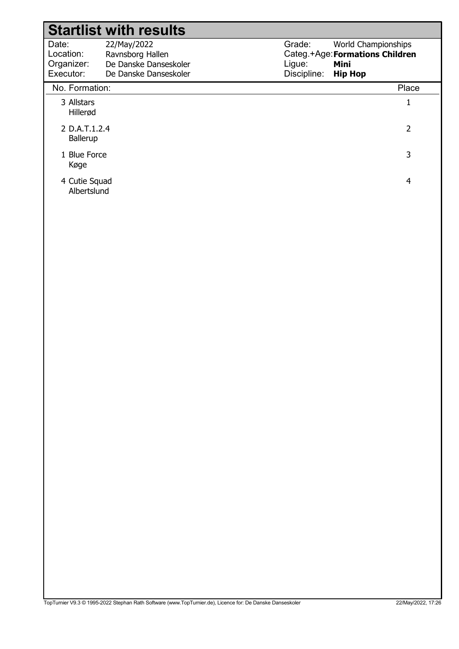#### Date: Location: Grade: Categ.+Age: Formations Children Ligue: Discipline: 22/May/2022 Ravnsborg Hallen World Championships Mini Hip Hop Organizer: Executor: De Danske Danseskoler De Danske Danseskoler Startlist with results No. Formation: Place 3 Allstars 1 Hillerød 2 D.A.T.1.2.4 2 Ballerup 1 Blue Force 3 Køge 4 Cutie Squad 4 Albertslund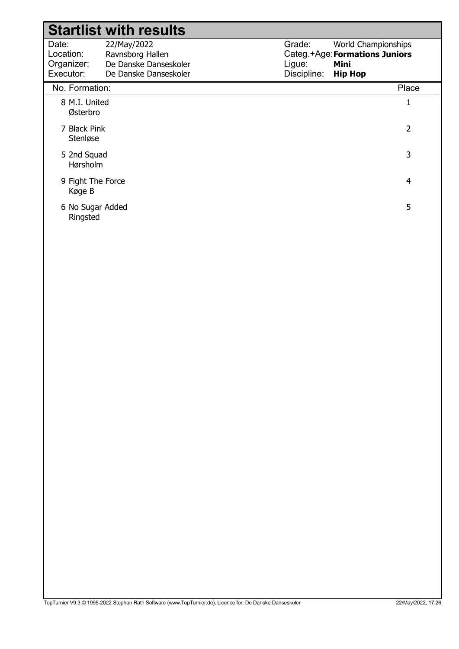|                                               | <b>Startlist with results</b>                                                     |                                 |                                                                                 |
|-----------------------------------------------|-----------------------------------------------------------------------------------|---------------------------------|---------------------------------------------------------------------------------|
| Date:<br>Location:<br>Organizer:<br>Executor: | 22/May/2022<br>Ravnsborg Hallen<br>De Danske Danseskoler<br>De Danske Danseskoler | Grade:<br>Ligue:<br>Discipline: | World Championships<br>Categ.+Age: Formations Juniors<br>Mini<br><b>Hip Hop</b> |
| No. Formation:                                |                                                                                   |                                 | Place                                                                           |
| 8 M.I. United<br>Østerbro                     |                                                                                   |                                 | $\mathbf{1}$                                                                    |
| 7 Black Pink<br>Stenløse                      |                                                                                   |                                 | $\overline{2}$                                                                  |
| 5 2nd Squad<br>Hørsholm                       |                                                                                   |                                 | 3                                                                               |
| 9 Fight The Force<br>Køge B                   |                                                                                   |                                 | 4                                                                               |
| 6 No Sugar Added<br>Ringsted                  |                                                                                   |                                 | 5                                                                               |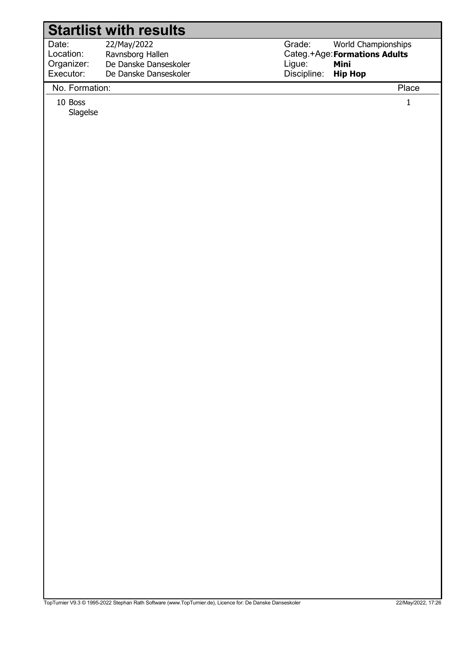Date: Location: 22/May/2022 Ravnsborg Hallen Organizer: Executor: De Danske Danseskoler De Danske Danseskoler Grade: Categ.+Age: Formations Adults Ligue: Discipline: World Championships Mini Hip Hop

## No. Formation: Place

10 Boss 1

Slagelse

TopTurnier V9.3 © 1995-2022 Stephan Rath Software (www.TopTurnier.de), Licence for: De Danske Danseskoler 22/May/2022, 17:26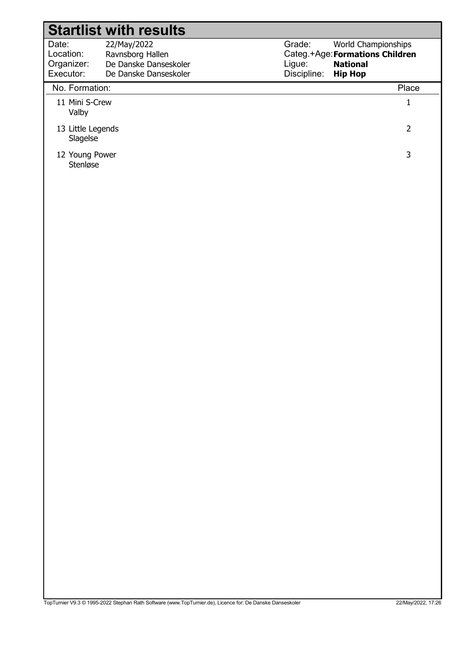| <b>Startlist with results</b>                 |                                                                                   |                                 |                                                                                             |  |
|-----------------------------------------------|-----------------------------------------------------------------------------------|---------------------------------|---------------------------------------------------------------------------------------------|--|
| Date:<br>Location:<br>Organizer:<br>Executor: | 22/May/2022<br>Ravnsborg Hallen<br>De Danske Danseskoler<br>De Danske Danseskoler | Grade:<br>Ligue:<br>Discipline: | World Championships<br>Categ.+Age: Formations Children<br><b>National</b><br><b>Hip Hop</b> |  |
| No. Formation:                                |                                                                                   |                                 | Place                                                                                       |  |
| 11 Mini S-Crew<br>Valby                       |                                                                                   |                                 |                                                                                             |  |
| 13 Little Legends<br>Slagelse                 |                                                                                   |                                 | 2                                                                                           |  |
| 12 Young Power<br>Stenløse                    |                                                                                   |                                 | 3                                                                                           |  |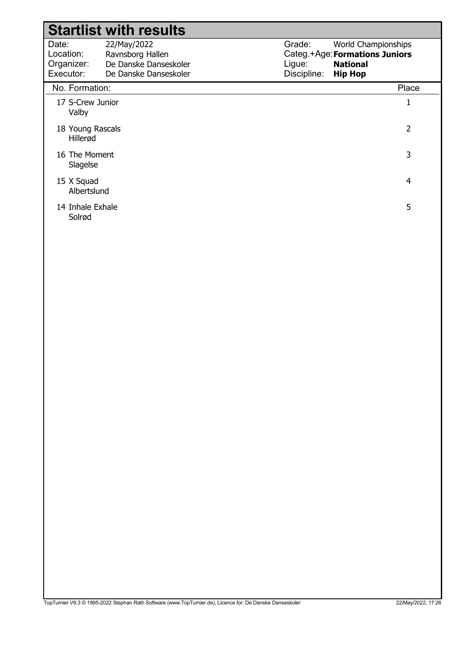|                                               | <b>Startlist with results</b>                                                     |                                 |                                                                                            |
|-----------------------------------------------|-----------------------------------------------------------------------------------|---------------------------------|--------------------------------------------------------------------------------------------|
| Date:<br>Location:<br>Organizer:<br>Executor: | 22/May/2022<br>Ravnsborg Hallen<br>De Danske Danseskoler<br>De Danske Danseskoler | Grade:<br>Ligue:<br>Discipline: | World Championships<br>Categ.+Age: Formations Juniors<br><b>National</b><br><b>Hip Hop</b> |
| No. Formation:                                |                                                                                   |                                 | Place                                                                                      |
| 17 S-Crew Junior<br>Valby                     |                                                                                   |                                 | 1                                                                                          |
| 18 Young Rascals<br>Hillerød                  |                                                                                   |                                 | $\overline{2}$                                                                             |
| 16 The Moment<br>Slagelse                     |                                                                                   |                                 | 3                                                                                          |
| 15 X Squad<br>Albertslund                     |                                                                                   |                                 | 4                                                                                          |
| 14 Inhale Exhale<br>Solrød                    |                                                                                   |                                 | 5                                                                                          |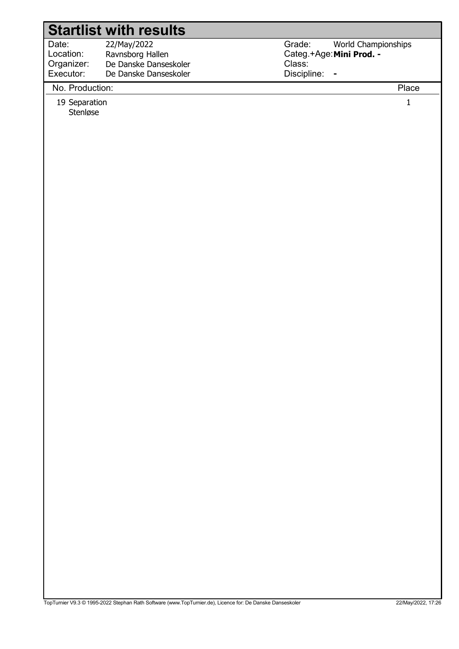Date: Location: 22/May/2022 Ravnsborg Hallen Organizer: Executor: De Danske Danseskoler De Danske Danseskoler

No. Production: Place

19 Separation 19 Separation 1 Stenløse

Grade: Categ.+Age: Mini Prod. -Class: Discipline: - World Championships

TopTurnier V9.3 © 1995-2022 Stephan Rath Software (www.TopTurnier.de), Licence for: De Danske Danseskoler 22/May/2022, 17:26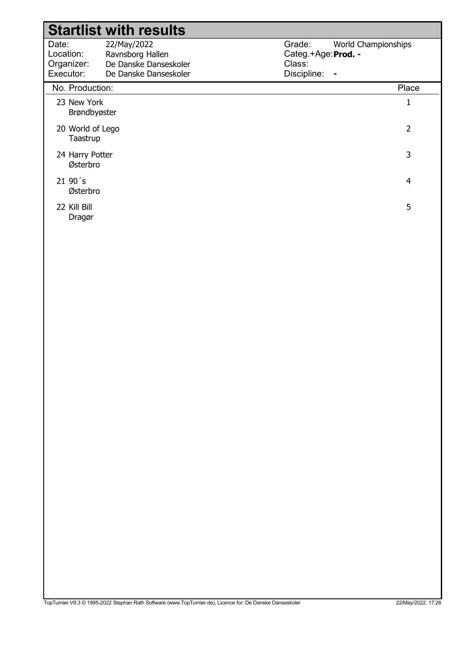#### Date: Location: Grade: Categ.+Age: Prod. -Class: Discipline: - 22/May/2022 Ravnsborg Hallen World Championships Organizer: Executor: De Danske Danseskoler De Danske Danseskoler Startlist with results No. Production: Place 23 New York 1 Brøndbyøster 20 World of Lego 20 22 Taastrup 24 Harry Potter 3 Østerbro  $21\,90\,^\prime$ s 4 Østerbro 22 Kill Bill 5

Dragør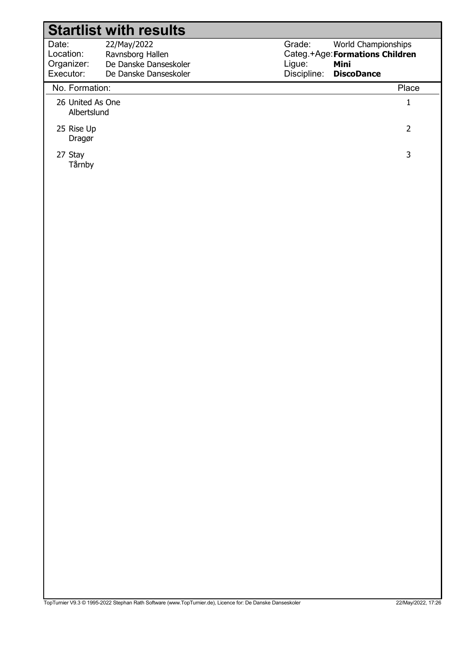|                                               | <b>Startlist with results</b>                                                     |                                                                                                                        |                |
|-----------------------------------------------|-----------------------------------------------------------------------------------|------------------------------------------------------------------------------------------------------------------------|----------------|
| Date:<br>Location:<br>Organizer:<br>Executor: | 22/May/2022<br>Ravnsborg Hallen<br>De Danske Danseskoler<br>De Danske Danseskoler | Grade:<br>World Championships<br>Categ.+Age: Formations Children<br>Ligue:<br>Mini<br>Discipline:<br><b>DiscoDance</b> |                |
| No. Formation:                                |                                                                                   |                                                                                                                        | Place          |
| 26 United As One<br>Albertslund               |                                                                                   |                                                                                                                        | $\mathbf{1}$   |
| 25 Rise Up<br>Dragør                          |                                                                                   |                                                                                                                        | $\overline{2}$ |
| 27 Stay<br>Tårnby                             |                                                                                   |                                                                                                                        | 3              |
|                                               |                                                                                   |                                                                                                                        |                |
|                                               |                                                                                   |                                                                                                                        |                |
|                                               |                                                                                   |                                                                                                                        |                |
|                                               |                                                                                   |                                                                                                                        |                |
|                                               |                                                                                   |                                                                                                                        |                |
|                                               |                                                                                   |                                                                                                                        |                |
|                                               |                                                                                   |                                                                                                                        |                |
|                                               |                                                                                   |                                                                                                                        |                |
|                                               |                                                                                   |                                                                                                                        |                |
|                                               |                                                                                   |                                                                                                                        |                |
|                                               |                                                                                   |                                                                                                                        |                |
|                                               |                                                                                   |                                                                                                                        |                |
|                                               |                                                                                   |                                                                                                                        |                |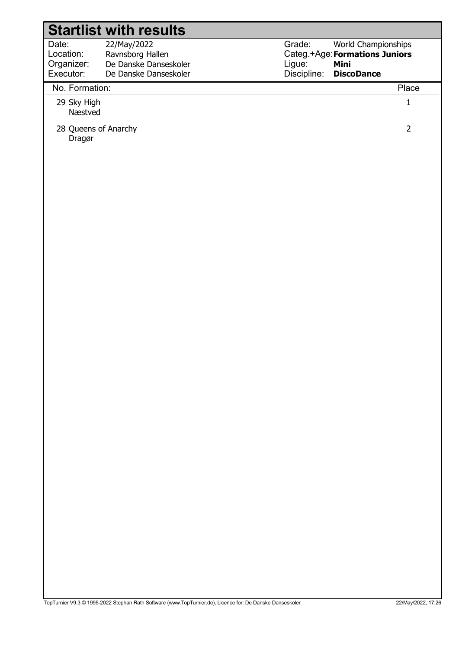|                                               | <b>Startlist with results</b>                                                     |                                 |                                                                                           |
|-----------------------------------------------|-----------------------------------------------------------------------------------|---------------------------------|-------------------------------------------------------------------------------------------|
| Date:<br>Location:<br>Organizer:<br>Executor: | 22/May/2022<br>Ravnsborg Hallen<br>De Danske Danseskoler<br>De Danske Danseskoler | Grade:<br>Ligue:<br>Discipline: | World Championships<br>Categ.+Age: Formations Juniors<br><b>Mini</b><br><b>DiscoDance</b> |
| No. Formation:                                |                                                                                   |                                 | Place                                                                                     |
| 29 Sky High<br>Næstved                        |                                                                                   |                                 |                                                                                           |
| 28 Queens of Anarchy<br>Dragør                |                                                                                   |                                 | 2                                                                                         |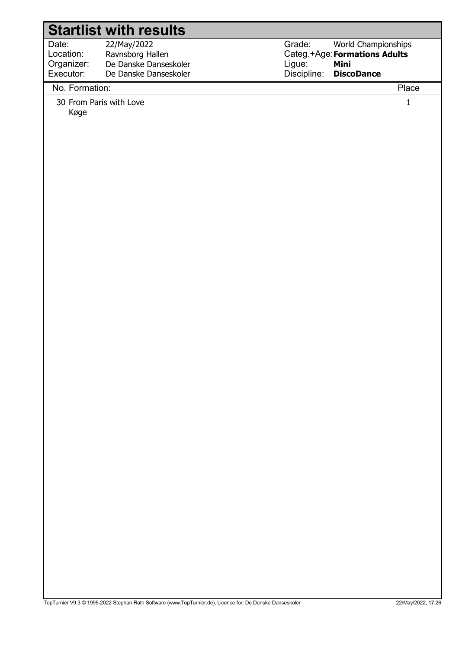Date: Location: 22/May/2022 Ravnsborg Hallen Organizer: Executor: De Danske Danseskoler De Danske Danseskoler

No. Formation: Place

30 From Paris with Love 1

Køge

Grade: Categ.+Age: Formations Adults Ligue: Discipline: World Championships Mini **DiscoDance**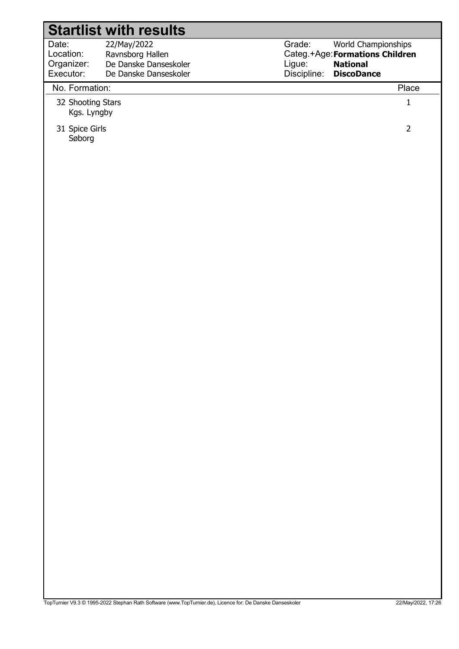| 22/May/2022           |
|-----------------------|
| Ravnsborg Hallen      |
| De Danske Danseskoler |
| De Danske Danseskoler |
|                       |

Grade: Categ.+Age: Formations Children Ligue: Discipline: World Championships National **DiscoDance** 

### No. Formation: Place

- 32 Shooting Stars 1 Kgs. Lyngby
- 31 Spice Girls 2 Søborg